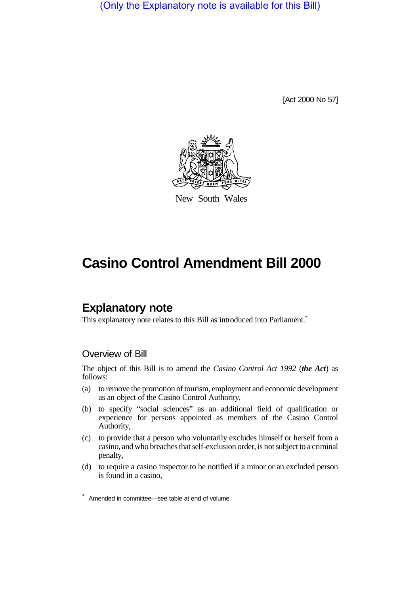(Only the Explanatory note is available for this Bill)

[Act 2000 No 57]



New South Wales

# **Casino Control Amendment Bill 2000**

## **Explanatory note**

This explanatory note relates to this Bill as introduced into Parliament.<sup>\*</sup>

#### Overview of Bill

The object of this Bill is to amend the *Casino Control Act 1992* (*the Act*) as follows:

- (a) to remove the promotion of tourism, employment and economic development as an object of the Casino Control Authority,
- (b) to specify "social sciences" as an additional field of qualification or experience for persons appointed as members of the Casino Control Authority,
- (c) to provide that a person who voluntarily excludes himself or herself from a casino, and who breaches that self-exclusion order, is not subject to a criminal penalty,
- (d) to require a casino inspector to be notified if a minor or an excluded person is found in a casino,

<sup>\*</sup> Amended in committee—see table at end of volume.